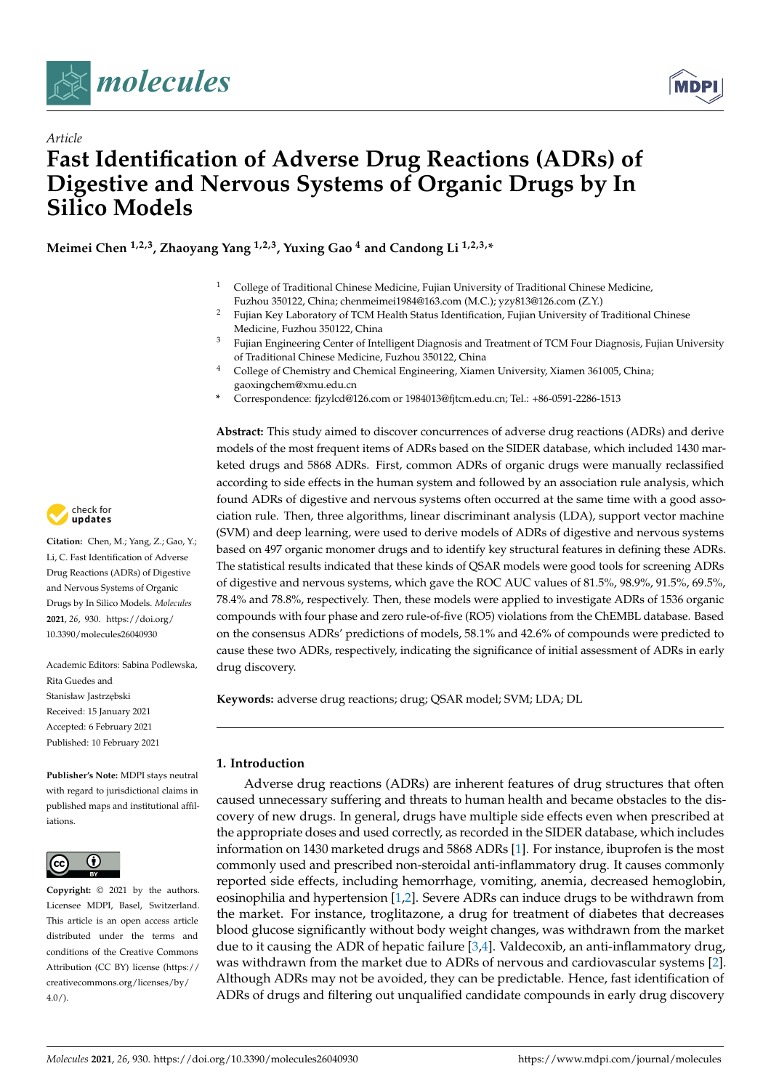



# *Article* **Fast Identification of Adverse Drug Reactions (ADRs) of Digestive and Nervous Systems of Organic Drugs by In Silico Models**

**Meimei Chen 1,2,3, Zhaoyang Yang 1,2,3, Yuxing Gao <sup>4</sup> and Candong Li 1,2,3,\***

- <sup>1</sup> College of Traditional Chinese Medicine, Fujian University of Traditional Chinese Medicine, Fuzhou 350122, China; chenmeimei1984@163.com (M.C.); yzy813@126.com (Z.Y.)
- <sup>2</sup> Fujian Key Laboratory of TCM Health Status Identification, Fujian University of Traditional Chinese Medicine, Fuzhou 350122, China
- <sup>3</sup> Fujian Engineering Center of Intelligent Diagnosis and Treatment of TCM Four Diagnosis, Fujian University of Traditional Chinese Medicine, Fuzhou 350122, China
- <sup>4</sup> College of Chemistry and Chemical Engineering, Xiamen University, Xiamen 361005, China; gaoxingchem@xmu.edu.cn
- **\*** Correspondence: fjzylcd@126.com or 1984013@fjtcm.edu.cn; Tel.: +86-0591-2286-1513

**Abstract:** This study aimed to discover concurrences of adverse drug reactions (ADRs) and derive models of the most frequent items of ADRs based on the SIDER database, which included 1430 marketed drugs and 5868 ADRs. First, common ADRs of organic drugs were manually reclassified according to side effects in the human system and followed by an association rule analysis, which found ADRs of digestive and nervous systems often occurred at the same time with a good association rule. Then, three algorithms, linear discriminant analysis (LDA), support vector machine (SVM) and deep learning, were used to derive models of ADRs of digestive and nervous systems based on 497 organic monomer drugs and to identify key structural features in defining these ADRs. The statistical results indicated that these kinds of QSAR models were good tools for screening ADRs of digestive and nervous systems, which gave the ROC AUC values of 81.5%, 98.9%, 91.5%, 69.5%, 78.4% and 78.8%, respectively. Then, these models were applied to investigate ADRs of 1536 organic compounds with four phase and zero rule-of-five (RO5) violations from the ChEMBL database. Based on the consensus ADRs' predictions of models, 58.1% and 42.6% of compounds were predicted to cause these two ADRs, respectively, indicating the significance of initial assessment of ADRs in early drug discovery.

**Keywords:** adverse drug reactions; drug; QSAR model; SVM; LDA; DL

## **1. Introduction**

Adverse drug reactions (ADRs) are inherent features of drug structures that often caused unnecessary suffering and threats to human health and became obstacles to the discovery of new drugs. In general, drugs have multiple side effects even when prescribed at the appropriate doses and used correctly, as recorded in the SIDER database, which includes information on 1430 marketed drugs and 5868 ADRs [\[1\]](#page-10-0). For instance, ibuprofen is the most commonly used and prescribed non-steroidal anti-inflammatory drug. It causes commonly reported side effects, including hemorrhage, vomiting, anemia, decreased hemoglobin, eosinophilia and hypertension [\[1](#page-10-0)[,2\]](#page-10-1). Severe ADRs can induce drugs to be withdrawn from the market. For instance, troglitazone, a drug for treatment of diabetes that decreases blood glucose significantly without body weight changes, was withdrawn from the market due to it causing the ADR of hepatic failure [\[3,](#page-10-2)[4\]](#page-10-3). Valdecoxib, an anti-inflammatory drug, was withdrawn from the market due to ADRs of nervous and cardiovascular systems [\[2\]](#page-10-1). Although ADRs may not be avoided, they can be predictable. Hence, fast identification of ADRs of drugs and filtering out unqualified candidate compounds in early drug discovery



**Citation:** Chen, M.; Yang, Z.; Gao, Y.; Li, C. Fast Identification of Adverse Drug Reactions (ADRs) of Digestive and Nervous Systems of Organic Drugs by In Silico Models. *Molecules* **2021**, *26*, 930. [https://doi.org/](https://doi.org/10.3390/molecules26040930) [10.3390/molecules26040930](https://doi.org/10.3390/molecules26040930)

Academic Editors: Sabina Podlewska, Rita Guedes and Stanisław Jastrzebski Received: 15 January 2021 Accepted: 6 February 2021 Published: 10 February 2021

**Publisher's Note:** MDPI stays neutral with regard to jurisdictional claims in published maps and institutional affiliations.



**Copyright:** © 2021 by the authors. Licensee MDPI, Basel, Switzerland. This article is an open access article distributed under the terms and conditions of the Creative Commons Attribution (CC BY) license (https:/[/](https://creativecommons.org/licenses/by/4.0/) [creativecommons.org/licenses/by/](https://creativecommons.org/licenses/by/4.0/)  $4.0/$ ).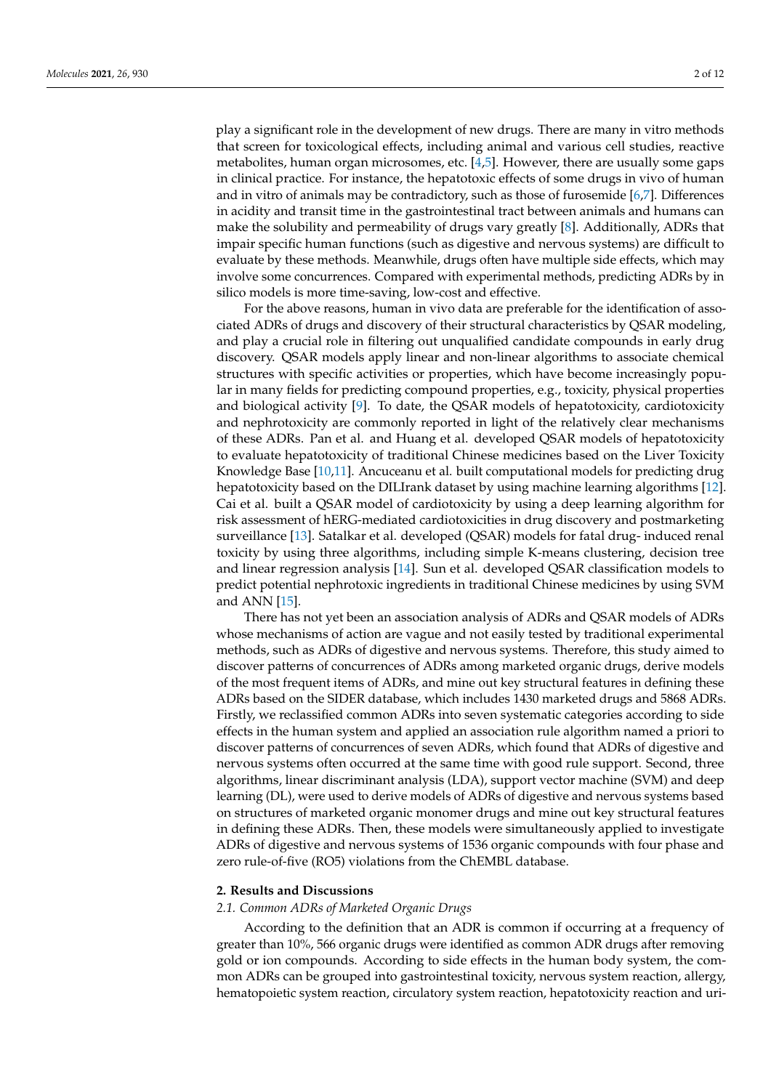play a significant role in the development of new drugs. There are many in vitro methods that screen for toxicological effects, including animal and various cell studies, reactive metabolites, human organ microsomes, etc. [\[4,](#page-10-3)[5\]](#page-10-4). However, there are usually some gaps in clinical practice. For instance, the hepatotoxic effects of some drugs in vivo of human and in vitro of animals may be contradictory, such as those of furosemide [\[6](#page-10-5)[,7\]](#page-10-6). Differences in acidity and transit time in the gastrointestinal tract between animals and humans can make the solubility and permeability of drugs vary greatly [\[8\]](#page-10-7). Additionally, ADRs that impair specific human functions (such as digestive and nervous systems) are difficult to evaluate by these methods. Meanwhile, drugs often have multiple side effects, which may involve some concurrences. Compared with experimental methods, predicting ADRs by in silico models is more time-saving, low-cost and effective.

For the above reasons, human in vivo data are preferable for the identification of associated ADRs of drugs and discovery of their structural characteristics by QSAR modeling, and play a crucial role in filtering out unqualified candidate compounds in early drug discovery. QSAR models apply linear and non-linear algorithms to associate chemical structures with specific activities or properties, which have become increasingly popular in many fields for predicting compound properties, e.g., toxicity, physical properties and biological activity  $[9]$ . To date, the QSAR models of hepatotoxicity, cardiotoxicity and nephrotoxicity are commonly reported in light of the relatively clear mechanisms of these ADRs. Pan et al. and Huang et al. developed QSAR models of hepatotoxicity to evaluate hepatotoxicity of traditional Chinese medicines based on the Liver Toxicity Knowledge Base [\[10,](#page-10-9)[11\]](#page-10-10). Ancuceanu et al. built computational models for predicting drug hepatotoxicity based on the DILIrank dataset by using machine learning algorithms [\[12\]](#page-11-0). Cai et al. built a QSAR model of cardiotoxicity by using a deep learning algorithm for risk assessment of hERG-mediated cardiotoxicities in drug discovery and postmarketing surveillance [\[13\]](#page-11-1). Satalkar et al. developed (QSAR) models for fatal drug- induced renal toxicity by using three algorithms, including simple K-means clustering, decision tree and linear regression analysis [\[14\]](#page-11-2). Sun et al. developed QSAR classification models to predict potential nephrotoxic ingredients in traditional Chinese medicines by using SVM and ANN [\[15\]](#page-11-3).

There has not yet been an association analysis of ADRs and QSAR models of ADRs whose mechanisms of action are vague and not easily tested by traditional experimental methods, such as ADRs of digestive and nervous systems. Therefore, this study aimed to discover patterns of concurrences of ADRs among marketed organic drugs, derive models of the most frequent items of ADRs, and mine out key structural features in defining these ADRs based on the SIDER database, which includes 1430 marketed drugs and 5868 ADRs. Firstly, we reclassified common ADRs into seven systematic categories according to side effects in the human system and applied an association rule algorithm named a priori to discover patterns of concurrences of seven ADRs, which found that ADRs of digestive and nervous systems often occurred at the same time with good rule support. Second, three algorithms, linear discriminant analysis (LDA), support vector machine (SVM) and deep learning (DL), were used to derive models of ADRs of digestive and nervous systems based on structures of marketed organic monomer drugs and mine out key structural features in defining these ADRs. Then, these models were simultaneously applied to investigate ADRs of digestive and nervous systems of 1536 organic compounds with four phase and zero rule-of-five (RO5) violations from the ChEMBL database.

## **2. Results and Discussions**

#### *2.1. Common ADRs of Marketed Organic Drugs*

According to the definition that an ADR is common if occurring at a frequency of greater than 10%, 566 organic drugs were identified as common ADR drugs after removing gold or ion compounds. According to side effects in the human body system, the common ADRs can be grouped into gastrointestinal toxicity, nervous system reaction, allergy, hematopoietic system reaction, circulatory system reaction, hepatotoxicity reaction and uri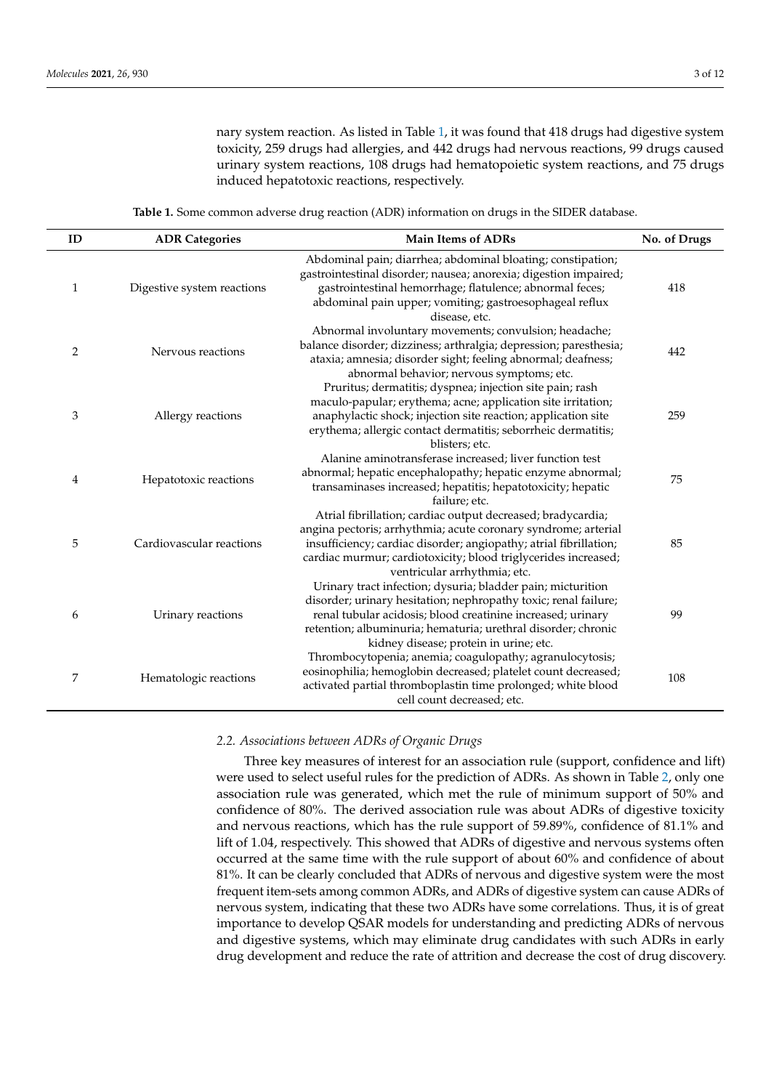nary system reaction. As listed in Table [1,](#page-2-0) it was found that 418 drugs had digestive system toxicity, 259 drugs had allergies, and 442 drugs had nervous reactions, 99 drugs caused urinary system reactions, 108 drugs had hematopoietic system reactions, and 75 drugs induced hepatotoxic reactions, respectively.

**Table 1.** Some common adverse drug reaction (ADR) information on drugs in the SIDER database.

<span id="page-2-0"></span>

| ID           | <b>ADR Categories</b>      | <b>Main Items of ADRs</b>                                                                                                                                                                                                                                                                                | No. of Drugs |
|--------------|----------------------------|----------------------------------------------------------------------------------------------------------------------------------------------------------------------------------------------------------------------------------------------------------------------------------------------------------|--------------|
| $\mathbf{1}$ | Digestive system reactions | Abdominal pain; diarrhea; abdominal bloating; constipation;<br>gastrointestinal disorder; nausea; anorexia; digestion impaired;<br>gastrointestinal hemorrhage; flatulence; abnormal feces;<br>abdominal pain upper; vomiting; gastroesophageal reflux<br>disease, etc.                                  | 418          |
| 2            | Nervous reactions          | Abnormal involuntary movements; convulsion; headache;<br>balance disorder; dizziness; arthralgia; depression; paresthesia;<br>ataxia; amnesia; disorder sight; feeling abnormal; deafness;<br>abnormal behavior; nervous symptoms; etc.                                                                  | 442          |
| 3            | Allergy reactions          | Pruritus; dermatitis; dyspnea; injection site pain; rash<br>maculo-papular; erythema; acne; application site irritation;<br>anaphylactic shock; injection site reaction; application site<br>erythema; allergic contact dermatitis; seborrheic dermatitis;<br>blisters; etc.                             | 259          |
| 4            | Hepatotoxic reactions      | Alanine aminotransferase increased; liver function test<br>abnormal; hepatic encephalopathy; hepatic enzyme abnormal;<br>transaminases increased; hepatitis; hepatotoxicity; hepatic<br>failure: etc.                                                                                                    | 75           |
| 5            | Cardiovascular reactions   | Atrial fibrillation; cardiac output decreased; bradycardia;<br>angina pectoris; arrhythmia; acute coronary syndrome; arterial<br>insufficiency; cardiac disorder; angiopathy; atrial fibrillation;<br>cardiac murmur; cardiotoxicity; blood triglycerides increased;<br>ventricular arrhythmia; etc.     | 85           |
| 6            | Urinary reactions          | Urinary tract infection; dysuria; bladder pain; micturition<br>disorder; urinary hesitation; nephropathy toxic; renal failure;<br>renal tubular acidosis; blood creatinine increased; urinary<br>retention; albuminuria; hematuria; urethral disorder; chronic<br>kidney disease; protein in urine; etc. | 99           |
| 7            | Hematologic reactions      | Thrombocytopenia; anemia; coagulopathy; agranulocytosis;<br>eosinophilia; hemoglobin decreased; platelet count decreased;<br>activated partial thromboplastin time prolonged; white blood<br>cell count decreased; etc.                                                                                  | 108          |

## *2.2. Associations between ADRs of Organic Drugs*

Three key measures of interest for an association rule (support, confidence and lift) were used to select useful rules for the prediction of ADRs. As shown in Table [2,](#page-3-0) only one association rule was generated, which met the rule of minimum support of 50% and confidence of 80%. The derived association rule was about ADRs of digestive toxicity and nervous reactions, which has the rule support of 59.89%, confidence of 81.1% and lift of 1.04, respectively. This showed that ADRs of digestive and nervous systems often occurred at the same time with the rule support of about 60% and confidence of about 81%. It can be clearly concluded that ADRs of nervous and digestive system were the most frequent item-sets among common ADRs, and ADRs of digestive system can cause ADRs of nervous system, indicating that these two ADRs have some correlations. Thus, it is of great importance to develop QSAR models for understanding and predicting ADRs of nervous and digestive systems, which may eliminate drug candidates with such ADRs in early drug development and reduce the rate of attrition and decrease the cost of drug discovery.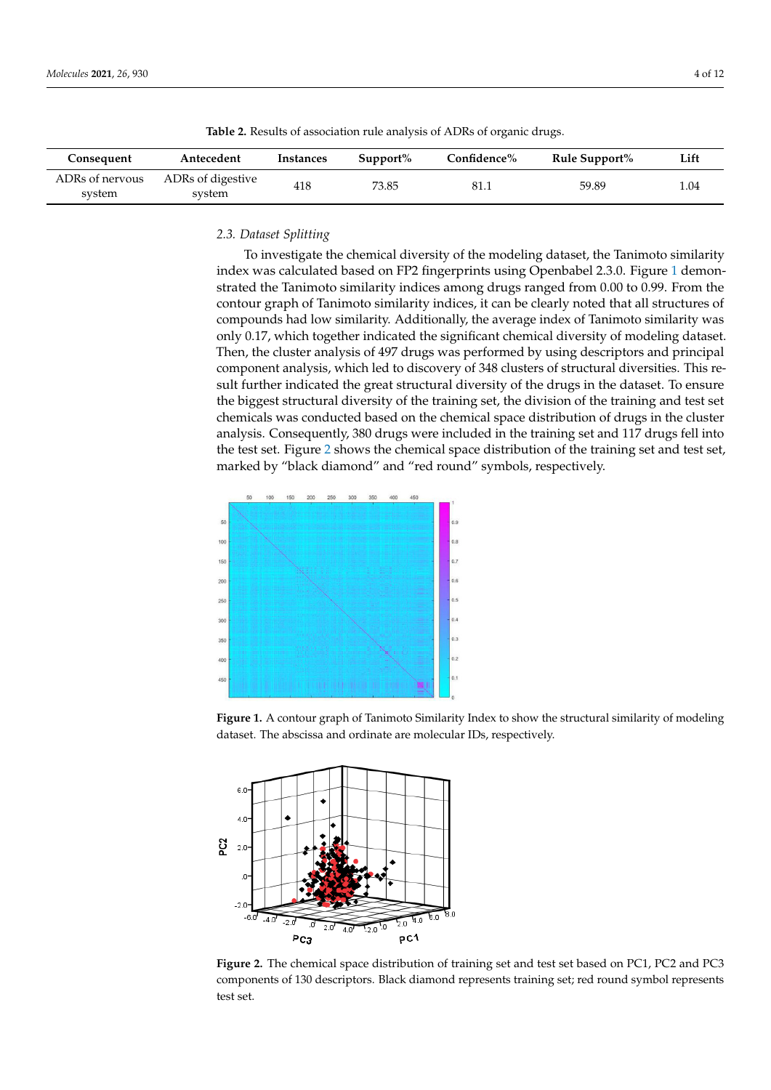| Molecules <b>2021</b> , 26, 930 | 4 O U |
|---------------------------------|-------|
|                                 |       |

<span id="page-3-0"></span>

| Consequent                | Antecedent                  | Instances | $Support\%$ | Confidence% | Rule Support% | Lift |
|---------------------------|-----------------------------|-----------|-------------|-------------|---------------|------|
| ADRs of nervous<br>system | ADRs of digestive<br>system | 418       | 73.85       | 81.1        | 59.89         | 1.04 |

**Table 2.** Results of association rule analysis of ADRs of organic drugs.

## *2.3. Dataset Splitting 2.3. Dataset Splitting 2.3. Dataset Splitting*

To investigate the chemical diversity of the modeling dataset, the Tanimoto similarity index was calculated based on FP2 fingerprints using Openbabel 2.3.0. Figure [1](#page-3-1) demonstrated the Tanimoto similarity indices among drugs ranged from 0.00 to 0.99. From the contour graph of Tanimoto similarity indices, it can be clearly noted that all structures of compounds had low similarity. Additionally, the average index of Tanimoto similarity was compounds had low similarity. Additionally, the average index of Tanimoto similarity compounds had low similarity. Additionally, the average index of Tanimoto similarity was only 0.17, which together indicated the significant chemical diversity of modeling dataset. Then, the cluster analysis of 497 drugs was performed by using descriptors and principal Then, the cluster analysis of 497 drugs was performed by using descriptors and principal component analysis, which led to discovery of 348 clusters of structural diversities. This result further indicated the great structural diversity of the drugs in the dataset. To ensure sult further indicated the great structural diversity of the drugs in the dataset. To ensure<br>the biggest structural diversity of the training set, the division of the training and test set chemicals was conducted based on the chemical space distribution of drugs in the cluster analysis. Consequently, 380 drugs were included in the training set and 117 drugs fell into the [tes](#page-3-2)t set. Figure 2 shows the chemical space distribution of the training set and test set, marked by "black diamond" and "red round" symbols, respectively.

<span id="page-3-1"></span>

Figure 1. A contour graph of Tanimoto Similarity Index to show the structural similarity of modeling dataset. The abscissa and ordinate are molecular IDs, respectively.

<span id="page-3-2"></span>

components of 130 descriptors. Black diamond represents training set; red round symbol represents  $\alpha$  130 descriptors. Black diamond represents training set; red round symbol represents training symbol represents training symbol represents training symbol represents to  $\alpha$ components of 130 descriptions. Black diamond represents training set; red round symbol repre-**Figure 2.** The chemical space distribution of training set and test set based on PC1, PC2 and PC3 test set.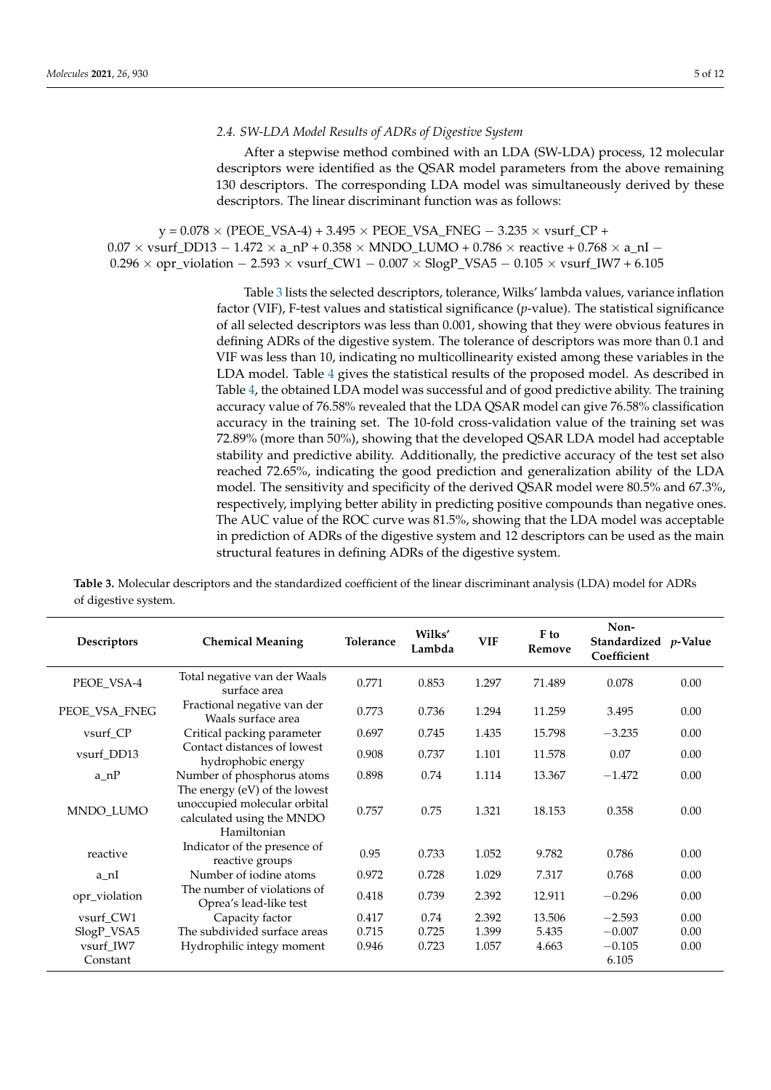## *2.4. SW-LDA Model Results of ADRs of Digestive System*

After a stepwise method combined with an LDA (SW-LDA) process, 12 molecular descriptors were identified as the QSAR model parameters from the above remaining 130 descriptors. The corresponding LDA model was simultaneously derived by these descriptors. The linear discriminant function was as follows:

 $y = 0.078 \times (PEOE_VSA-4) + 3.495 \times PEOE_VSA_FNEG - 3.235 \times vsurf_CPP +$  $0.07 \times$  vsurf\_DD13 - 1.472  $\times$  a\_nP + 0.358  $\times$  MNDO\_LUMO + 0.786  $\times$  reactive + 0.768  $\times$  a\_nI - $0.296 \times$  opr\_violation  $-2.593 \times$  vsurf\_CW1  $-0.007 \times$  SlogP\_VSA5  $-0.105 \times$  vsurf\_IW7 + 6.105

> Table [3](#page-4-0) lists the selected descriptors, tolerance, Wilks' lambda values, variance inflation factor (VIF), F-test values and statistical significance (*p*-value). The statistical significance of all selected descriptors was less than 0.001, showing that they were obvious features in defining ADRs of the digestive system. The tolerance of descriptors was more than 0.1 and VIF was less than 10, indicating no multicollinearity existed among these variables in the LDA model. Table [4](#page-5-0) gives the statistical results of the proposed model. As described in Table [4,](#page-5-0) the obtained LDA model was successful and of good predictive ability. The training accuracy value of 76.58% revealed that the LDA QSAR model can give 76.58% classification accuracy in the training set. The 10-fold cross-validation value of the training set was 72.89% (more than 50%), showing that the developed QSAR LDA model had acceptable stability and predictive ability. Additionally, the predictive accuracy of the test set also reached 72.65%, indicating the good prediction and generalization ability of the LDA model. The sensitivity and specificity of the derived QSAR model were 80.5% and 67.3%, respectively, implying better ability in predicting positive compounds than negative ones. The AUC value of the ROC curve was 81.5%, showing that the LDA model was acceptable in prediction of ADRs of the digestive system and 12 descriptors can be used as the main structural features in defining ADRs of the digestive system.

| Descriptors           | <b>Chemical Meaning</b>                                                                                   | Tolerance | Wilks'<br>Lambda | <b>VIF</b> | F to<br>Remove | Non-<br>Standardized p-Value<br>Coefficient |      |
|-----------------------|-----------------------------------------------------------------------------------------------------------|-----------|------------------|------------|----------------|---------------------------------------------|------|
| PEOE_VSA-4            | Total negative van der Waals<br>surface area                                                              | 0.771     | 0.853            | 1.297      | 71.489         | 0.078                                       | 0.00 |
| PEOE_VSA_FNEG         | Fractional negative van der<br>Waals surface area                                                         | 0.773     | 0.736            | 1.294      | 11.259         | 3.495                                       | 0.00 |
| vsurf CP              | Critical packing parameter                                                                                | 0.697     | 0.745            | 1.435      | 15.798         | $-3.235$                                    | 0.00 |
| vsurf_DD13            | Contact distances of lowest<br>hydrophobic energy                                                         | 0.908     | 0.737            | 1.101      | 11.578         | 0.07                                        | 0.00 |
| $a_nP$                | Number of phosphorus atoms                                                                                | 0.898     | 0.74             | 1.114      | 13.367         | $-1.472$                                    | 0.00 |
| MNDO_LUMO             | The energy (eV) of the lowest<br>unoccupied molecular orbital<br>calculated using the MNDO<br>Hamiltonian | 0.757     | 0.75             | 1.321      | 18.153         | 0.358                                       | 0.00 |
| reactive              | Indicator of the presence of<br>reactive groups                                                           | 0.95      | 0.733            | 1.052      | 9.782          | 0.786                                       | 0.00 |
| a nI                  | Number of iodine atoms                                                                                    | 0.972     | 0.728            | 1.029      | 7.317          | 0.768                                       | 0.00 |
| opr_violation         | The number of violations of<br>Oprea's lead-like test                                                     | 0.418     | 0.739            | 2.392      | 12.911         | $-0.296$                                    | 0.00 |
| vsurf_CW1             | Capacity factor                                                                                           | 0.417     | 0.74             | 2.392      | 13.506         | $-2.593$                                    | 0.00 |
| SlogP_VSA5            | The subdivided surface areas                                                                              | 0.715     | 0.725            | 1.399      | 5.435          | $-0.007$                                    | 0.00 |
| vsurf IW7<br>Constant | Hydrophilic integy moment                                                                                 | 0.946     | 0.723            | 1.057      | 4.663          | $-0.105$<br>6.105                           | 0.00 |

<span id="page-4-0"></span>**Table 3.** Molecular descriptors and the standardized coefficient of the linear discriminant analysis (LDA) model for ADRs of digestive system.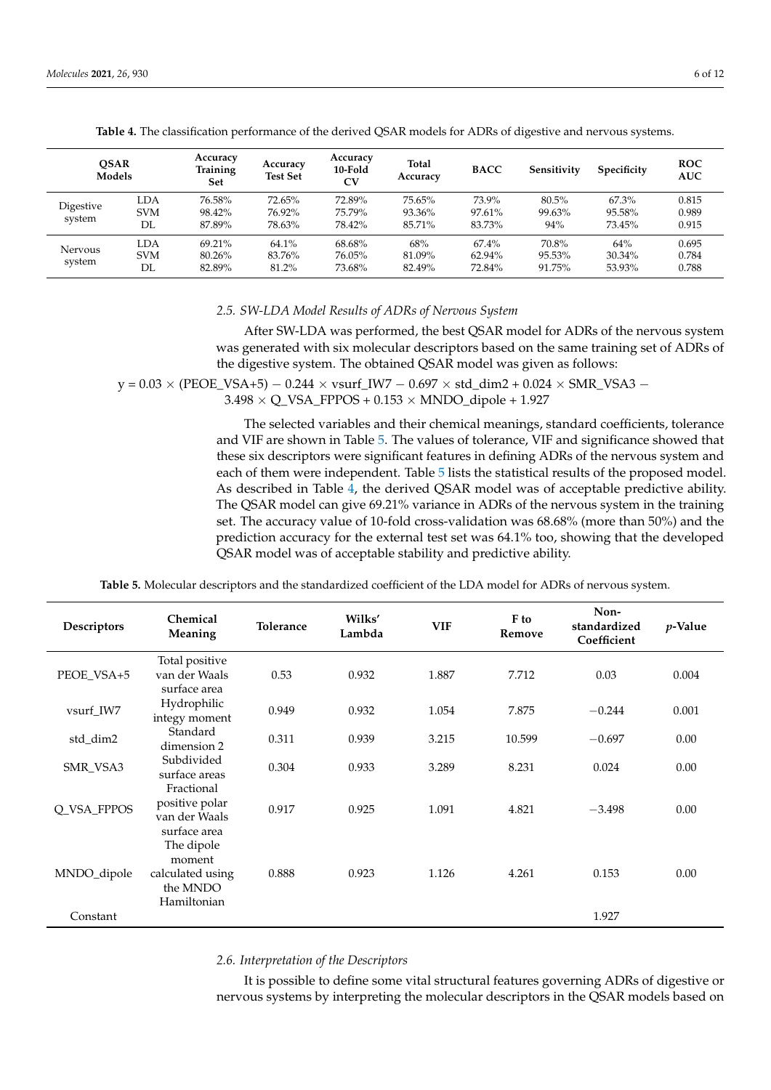<span id="page-5-0"></span>

| <b>OSAR</b><br>Models    |                         | Accuracy<br><b>Training</b><br>Set | Accuracy<br><b>Test Set</b> | Accuracy<br>10-Fold<br>CV  | Total<br>Accuracy          | <b>BACC</b>                     | Sensitivity               | Specificity               | <b>ROC</b><br><b>AUC</b> |
|--------------------------|-------------------------|------------------------------------|-----------------------------|----------------------------|----------------------------|---------------------------------|---------------------------|---------------------------|--------------------------|
| Digestive<br>system      | LDA<br><b>SVM</b><br>DL | 76.58%<br>98.42%<br>87.89%         | 72.65%<br>76.92%<br>78.63%  | 72.89%<br>75.79%<br>78.42% | 75.65%<br>93.36%<br>85.71% | 73.9%<br>97.61%<br>83.73%       | 80.5%<br>99.63%<br>94%    | 67.3%<br>95.58%<br>73.45% | 0.815<br>0.989<br>0.915  |
| <b>Nervous</b><br>system | LDA<br><b>SVM</b><br>DL | 69.21%<br>80.26%<br>82.89%         | 64.1%<br>83.76%<br>81.2%    | 68.68%<br>76.05%<br>73.68% | 68%<br>81.09%<br>82.49%    | $67.4\%$<br>$62.94\%$<br>72.84% | 70.8%<br>95.53%<br>91.75% | 64%<br>30.34%<br>53.93%   | 0.695<br>0.784<br>0.788  |

**Table 4.** The classification performance of the derived QSAR models for ADRs of digestive and nervous systems.

#### *2.5. SW-LDA Model Results of ADRs of Nervous System*

After SW-LDA was performed, the best QSAR model for ADRs of the nervous system was generated with six molecular descriptors based on the same training set of ADRs of the digestive system. The obtained QSAR model was given as follows:

 $y = 0.03 \times (PEOE_VSA+5) - 0.244 \times \text{vsurf}_V/W7 - 0.697 \times \text{std}_V/dm2 + 0.024 \times \text{SMR}_VSA3 3.498 \times Q$  VSA\_FPPOS + 0.153  $\times$  MNDO\_dipole + 1.927

> The selected variables and their chemical meanings, standard coefficients, tolerance and VIF are shown in Table [5.](#page-5-1) The values of tolerance, VIF and significance showed that these six descriptors were significant features in defining ADRs of the nervous system and each of them were independent. Table [5](#page-5-1) lists the statistical results of the proposed model. As described in Table [4,](#page-5-0) the derived QSAR model was of acceptable predictive ability. The QSAR model can give 69.21% variance in ADRs of the nervous system in the training set. The accuracy value of 10-fold cross-validation was 68.68% (more than 50%) and the prediction accuracy for the external test set was 64.1% too, showing that the developed QSAR model was of acceptable stability and predictive ability.

**Table 5.** Molecular descriptors and the standardized coefficient of the LDA model for ADRs of nervous system.

<span id="page-5-1"></span>

| Descriptors | Chemical<br>Meaning                                                 | Tolerance | Wilks'<br>Lambda | <b>VIF</b> | F to<br>Remove | Non-<br>standardized<br>Coefficient | $p$ -Value |
|-------------|---------------------------------------------------------------------|-----------|------------------|------------|----------------|-------------------------------------|------------|
|             | Total positive<br>van der Waals                                     | 0.53      |                  |            |                | 0.03                                |            |
| PEOE_VSA+5  | surface area                                                        |           | 0.932            | 1.887      | 7.712          |                                     | 0.004      |
| vsurf_IW7   | Hydrophilic<br>integy moment                                        | 0.949     | 0.932            | 1.054      | 7.875          | $-0.244$                            | 0.001      |
| std_dim2    | Standard<br>dimension 2                                             | 0.311     | 0.939            | 3.215      | 10.599         | $-0.697$                            | 0.00       |
| SMR_VSA3    | Subdivided<br>surface areas                                         | 0.304     | 0.933            | 3.289      | 8.231          | 0.024                               | 0.00       |
| Q_VSA_FPPOS | Fractional<br>positive polar<br>van der Waals<br>surface area       | 0.917     | 0.925            | 1.091      | 4.821          | $-3.498$                            | 0.00       |
| MNDO_dipole | The dipole<br>moment<br>calculated using<br>the MNDO<br>Hamiltonian | 0.888     | 0.923            | 1.126      | 4.261          | 0.153                               | 0.00       |
| Constant    |                                                                     |           |                  |            |                | 1.927                               |            |

## *2.6. Interpretation of the Descriptors*

It is possible to define some vital structural features governing ADRs of digestive or nervous systems by interpreting the molecular descriptors in the QSAR models based on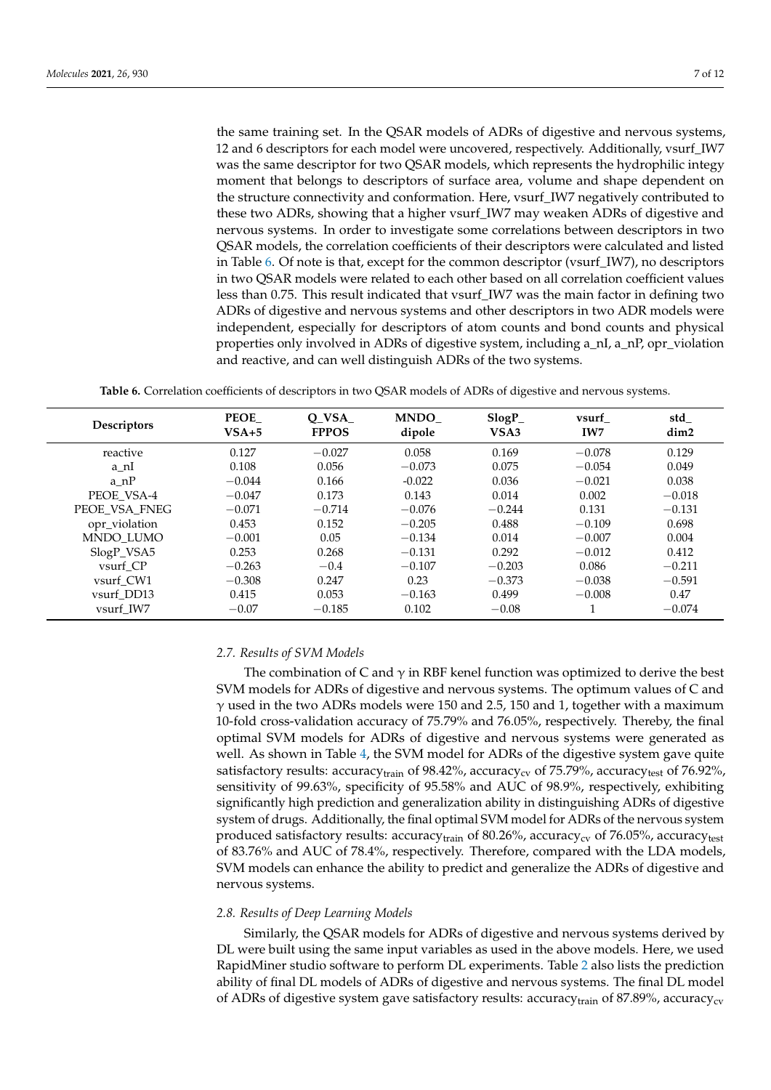the same training set. In the QSAR models of ADRs of digestive and nervous systems, 12 and 6 descriptors for each model were uncovered, respectively. Additionally, vsurf\_IW7 was the same descriptor for two QSAR models, which represents the hydrophilic integy moment that belongs to descriptors of surface area, volume and shape dependent on the structure connectivity and conformation. Here, vsurf\_IW7 negatively contributed to these two ADRs, showing that a higher vsurf\_IW7 may weaken ADRs of digestive and nervous systems. In order to investigate some correlations between descriptors in two QSAR models, the correlation coefficients of their descriptors were calculated and listed in Table [6.](#page-6-0) Of note is that, except for the common descriptor (vsurf\_IW7), no descriptors in two QSAR models were related to each other based on all correlation coefficient values less than 0.75. This result indicated that vsurf\_IW7 was the main factor in defining two ADRs of digestive and nervous systems and other descriptors in two ADR models were independent, especially for descriptors of atom counts and bond counts and physical properties only involved in ADRs of digestive system, including a\_nI, a\_nP, opr\_violation and reactive, and can well distinguish ADRs of the two systems.

**Table 6.** Correlation coefficients of descriptors in two QSAR models of ADRs of digestive and nervous systems.

<span id="page-6-0"></span>

| <b>Descriptors</b> | <b>PEOE</b><br>$VSA+5$ | O VSA<br><b>FPPOS</b> | <b>MNDO</b><br>dipole | $SlogP_$<br>VSA3 | vsurf<br>IW7 | std_<br>dim <sub>2</sub> |
|--------------------|------------------------|-----------------------|-----------------------|------------------|--------------|--------------------------|
| reactive           | 0.127                  | $-0.027$              | 0.058                 | 0.169            | $-0.078$     | 0.129                    |
| a nI               | 0.108                  | 0.056                 | $-0.073$              | 0.075            | $-0.054$     | 0.049                    |
| a nP               | $-0.044$               | 0.166                 | $-0.022$              | 0.036            | $-0.021$     | 0.038                    |
| PEOE VSA-4         | $-0.047$               | 0.173                 | 0.143                 | 0.014            | 0.002        | $-0.018$                 |
| PEOE VSA FNEG      | $-0.071$               | $-0.714$              | $-0.076$              | $-0.244$         | 0.131        | $-0.131$                 |
| opr_violation      | 0.453                  | 0.152                 | $-0.205$              | 0.488            | $-0.109$     | 0.698                    |
| MNDO_LUMO          | $-0.001$               | 0.05                  | $-0.134$              | 0.014            | $-0.007$     | 0.004                    |
| SlogP_VSA5         | 0.253                  | 0.268                 | $-0.131$              | 0.292            | $-0.012$     | 0.412                    |
| vsurf CP           | $-0.263$               | $-0.4$                | $-0.107$              | $-0.203$         | 0.086        | $-0.211$                 |
| vsurf CW1          | $-0.308$               | 0.247                 | 0.23                  | $-0.373$         | $-0.038$     | $-0.591$                 |
| vsurf DD13         | 0.415                  | 0.053                 | $-0.163$              | 0.499            | $-0.008$     | 0.47                     |
| vsurf IW7          | $-0.07$                | $-0.185$              | 0.102                 | $-0.08$          |              | $-0.074$                 |

## *2.7. Results of SVM Models*

The combination of C and  $\gamma$  in RBF kenel function was optimized to derive the best SVM models for ADRs of digestive and nervous systems. The optimum values of C and  $\gamma$  used in the two ADRs models were 150 and 2.5, 150 and 1, together with a maximum 10-fold cross-validation accuracy of 75.79% and 76.05%, respectively. Thereby, the final optimal SVM models for ADRs of digestive and nervous systems were generated as well. As shown in Table [4,](#page-5-0) the SVM model for ADRs of the digestive system gave quite satisfactory results: accuracy<sub>train</sub> of 98.42%, accuracy<sub>cv</sub> of 75.79%, accuracy<sub>test</sub> of 76.92%, sensitivity of 99.63%, specificity of 95.58% and AUC of 98.9%, respectively, exhibiting significantly high prediction and generalization ability in distinguishing ADRs of digestive system of drugs. Additionally, the final optimal SVM model for ADRs of the nervous system produced satisfactory results: accuracy<sub>train</sub> of 80.26%, accuracy<sub>cv</sub> of 76.05%, accuracy<sub>test</sub> of 83.76% and AUC of 78.4%, respectively. Therefore, compared with the LDA models, SVM models can enhance the ability to predict and generalize the ADRs of digestive and nervous systems.

## *2.8. Results of Deep Learning Models*

Similarly, the QSAR models for ADRs of digestive and nervous systems derived by DL were built using the same input variables as used in the above models. Here, we used RapidMiner studio software to perform DL experiments. Table [2](#page-3-0) also lists the prediction ability of final DL models of ADRs of digestive and nervous systems. The final DL model of ADRs of digestive system gave satisfactory results: accuracy $_{\text{train}}$  of 87.89%, accuracy $_{\text{cv}}$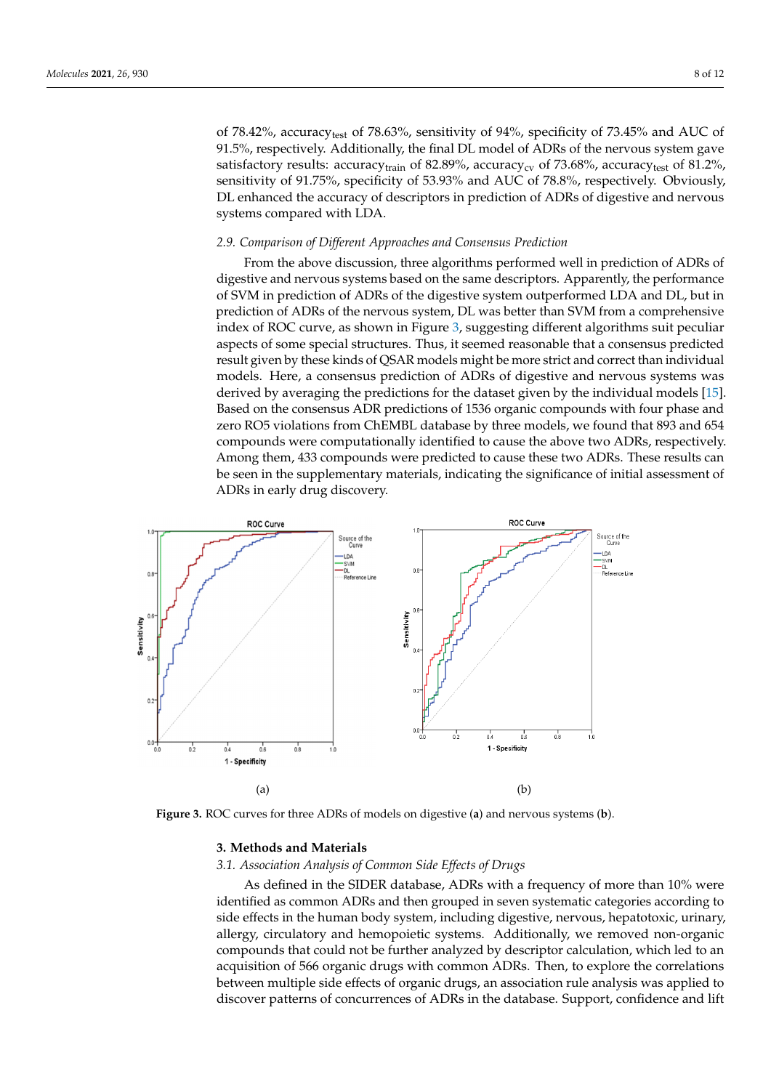of 78.42%, accuracytest of 78.63%, sensitivity of 94%, specificity of 73.45% and AUC of 91.5%, respectively. Additionally, the final DL model of ADRs of the nervous system gave satisfactory results: accuracy<sub>train</sub> of 82.89%, accuracy<sub>cv</sub> of 73.68%, accuracy<sub>test</sub> of 81.2%, sensitivity of 91.75%, specificity of 53.93% and AUC of 78.8%, respectively. Obviously, DL enhanced the accuracy of descriptors in prediction of ADRs of digestive and nervous systems compared with LDA.

## *2.9. Comparison of Different Approaches and Consensus Prediction 2.9. Comparison of Different Approaches and Consensus Prediction*

From the above discussion, three algorithms performed well in prediction of ADRs of From the above discussion, three algorithms performed well in prediction of ADRs digestive and nervous systems based on the same descriptors. Apparently, the performance of SVM in prediction of ADRs of the digestive system outperformed LDA and DL, but in prediction of ADRs of the nervous system, DL was better than SVM from a comprehensive index of ROC curve, as shown in Figure 3, su[gg](#page-7-0)esting different algorithms suit peculiar aspects of some special structures. Thus, it seemed reasonable that a consensus predicted result given by these kinds of QSAR models might be more strict and correct than individual models. Here, a consensus prediction of ADRs of digestive and nervous systems was derived by averaging the predictions for the dataset given by the individual models [\[15\]](#page-11-3). Based on the consensus ADR predictions of 1536 organic compounds with four phase and zero RO5 violations from ChEMBL database by three models, we found that 893 and 654 compounds were computationally identified to cause the above two ADRs, respectively. Among them, 433 compounds were predicted to cause these two ADRs. These results can be seen in the supplementary materials, indicating the significance of initial assessment of ADRs in early drug discovery.

<span id="page-7-0"></span>

**Figure 3.** ROC curves for three ADRs of models on digestive (**a**) and nervous systems (**b**). **Figure 3.** ROC curves for three ADRs of models on digestive (**a**) and nervous systems (**b**).

## **3. Methods and Materials 3. Methods and Materials**

## *3.1. Association Analysis of Common Side Effects of Drugs 3.1. Association Analysis of Common Side Effects of Drugs*

As defined in the SIDER database, ADRs with a frequency of more than 10% were As defined in the SIDER database, ADRs with a frequency of more than 10% were identified as common ADRs and then grouped in seven systematic categories according identified as common ADRs and then grouped in seven systematic categories according to side effects in the human body system, including digestive, nervous, hepatotoxic, urinary, allergy, circulatory and hemopoietic systems. Additionally, we removed non-organic ganic compounds that could not be further analyzed by descriptor calculation, which led compounds that could not be further analyzed by descriptor calculation, which led to an acquisition of 566 organic drugs with common ADRs. Then, to explore the correlations between multiple side effects of organic drugs, an association rule analysis was applied to discover patterns of concurrences of ADRs in the database. Support, confidence and lift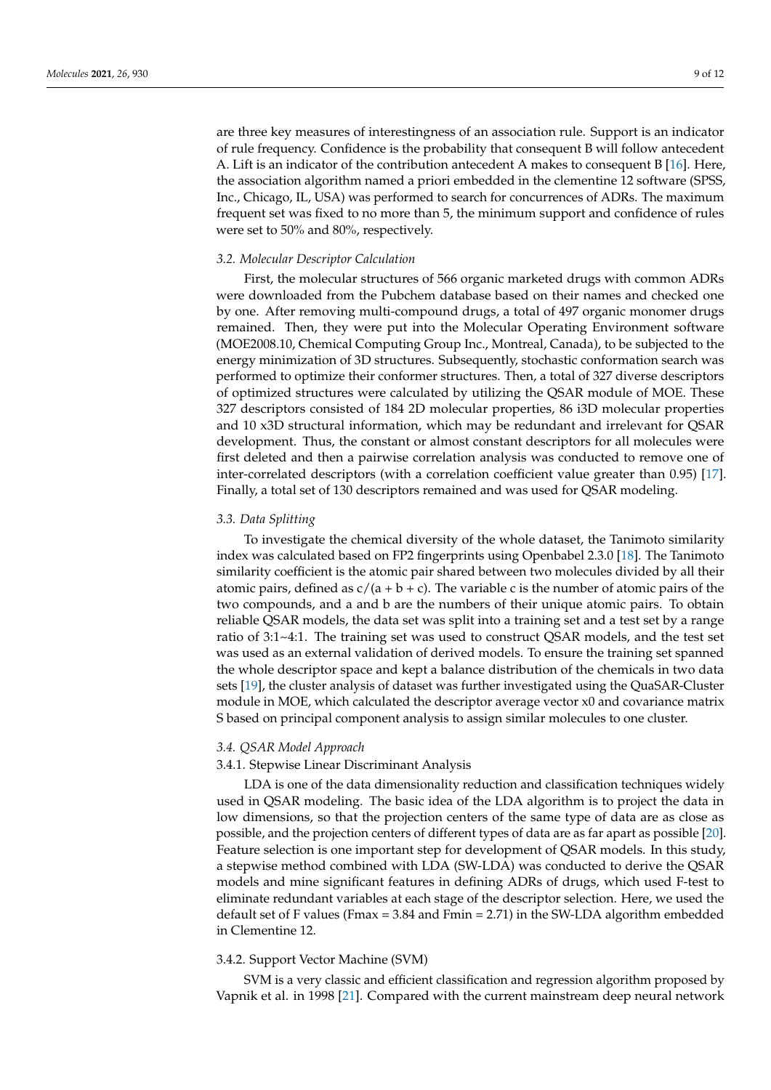are three key measures of interestingness of an association rule. Support is an indicator of rule frequency. Confidence is the probability that consequent B will follow antecedent A. Lift is an indicator of the contribution antecedent A makes to consequent B [\[16\]](#page-11-4). Here, the association algorithm named a priori embedded in the clementine 12 software (SPSS, Inc., Chicago, IL, USA) was performed to search for concurrences of ADRs. The maximum frequent set was fixed to no more than 5, the minimum support and confidence of rules were set to 50% and 80%, respectively.

#### *3.2. Molecular Descriptor Calculation*

First, the molecular structures of 566 organic marketed drugs with common ADRs were downloaded from the Pubchem database based on their names and checked one by one. After removing multi-compound drugs, a total of 497 organic monomer drugs remained. Then, they were put into the Molecular Operating Environment software (MOE2008.10, Chemical Computing Group Inc., Montreal, Canada), to be subjected to the energy minimization of 3D structures. Subsequently, stochastic conformation search was performed to optimize their conformer structures. Then, a total of 327 diverse descriptors of optimized structures were calculated by utilizing the QSAR module of MOE. These 327 descriptors consisted of 184 2D molecular properties, 86 i3D molecular properties and 10 x3D structural information, which may be redundant and irrelevant for QSAR development. Thus, the constant or almost constant descriptors for all molecules were first deleted and then a pairwise correlation analysis was conducted to remove one of inter-correlated descriptors (with a correlation coefficient value greater than 0.95) [\[17\]](#page-11-5). Finally, a total set of 130 descriptors remained and was used for QSAR modeling.

### *3.3. Data Splitting*

To investigate the chemical diversity of the whole dataset, the Tanimoto similarity index was calculated based on FP2 fingerprints using Openbabel 2.3.0 [\[18\]](#page-11-6). The Tanimoto similarity coefficient is the atomic pair shared between two molecules divided by all their atomic pairs, defined as  $c/(a + b + c)$ . The variable c is the number of atomic pairs of the two compounds, and a and b are the numbers of their unique atomic pairs. To obtain reliable QSAR models, the data set was split into a training set and a test set by a range ratio of 3:1~4:1. The training set was used to construct QSAR models, and the test set was used as an external validation of derived models. To ensure the training set spanned the whole descriptor space and kept a balance distribution of the chemicals in two data sets [\[19\]](#page-11-7), the cluster analysis of dataset was further investigated using the QuaSAR-Cluster module in MOE, which calculated the descriptor average vector x0 and covariance matrix S based on principal component analysis to assign similar molecules to one cluster.

#### *3.4. QSAR Model Approach*

#### 3.4.1. Stepwise Linear Discriminant Analysis

LDA is one of the data dimensionality reduction and classification techniques widely used in QSAR modeling. The basic idea of the LDA algorithm is to project the data in low dimensions, so that the projection centers of the same type of data are as close as possible, and the projection centers of different types of data are as far apart as possible [\[20\]](#page-11-8). Feature selection is one important step for development of QSAR models. In this study, a stepwise method combined with LDA (SW-LDA) was conducted to derive the QSAR models and mine significant features in defining ADRs of drugs, which used F-test to eliminate redundant variables at each stage of the descriptor selection. Here, we used the default set of F values (Fmax = 3.84 and Fmin = 2.71) in the SW-LDA algorithm embedded in Clementine 12.

## 3.4.2. Support Vector Machine (SVM)

SVM is a very classic and efficient classification and regression algorithm proposed by Vapnik et al. in 1998 [\[21\]](#page-11-9). Compared with the current mainstream deep neural network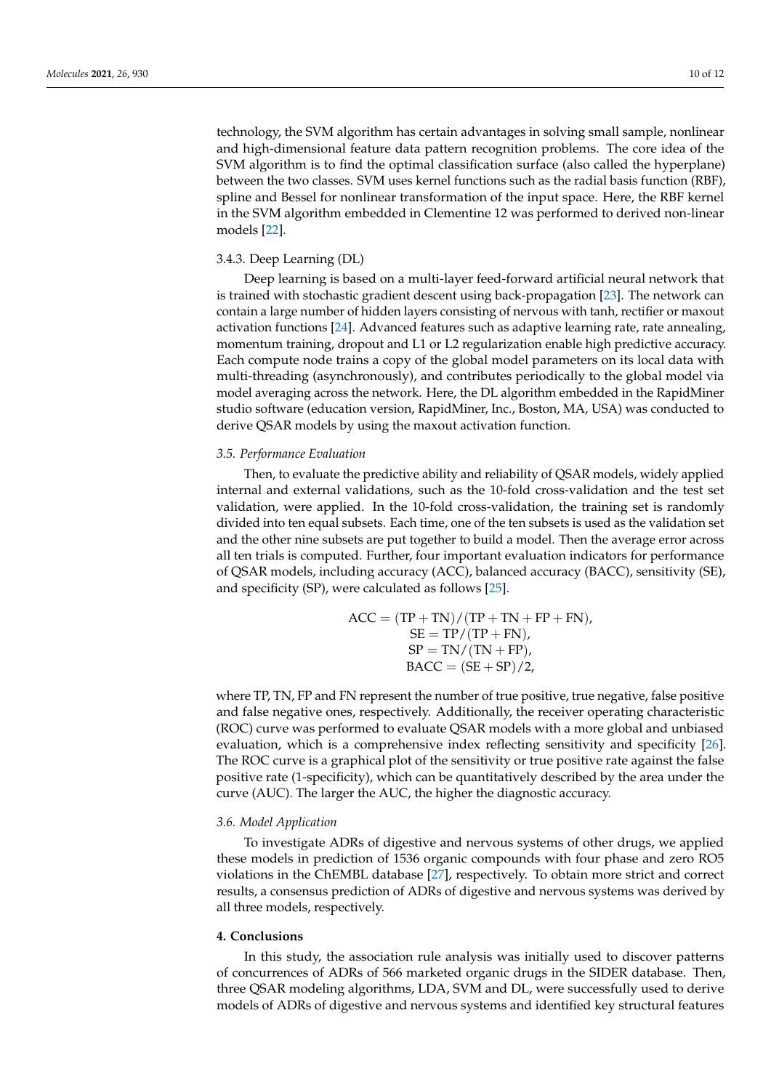technology, the SVM algorithm has certain advantages in solving small sample, nonlinear and high-dimensional feature data pattern recognition problems. The core idea of the SVM algorithm is to find the optimal classification surface (also called the hyperplane) between the two classes. SVM uses kernel functions such as the radial basis function (RBF), spline and Bessel for nonlinear transformation of the input space. Here, the RBF kernel in the SVM algorithm embedded in Clementine 12 was performed to derived non-linear models [\[22\]](#page-11-10).

### 3.4.3. Deep Learning (DL)

Deep learning is based on a multi-layer feed-forward artificial neural network that is trained with stochastic gradient descent using back-propagation [\[23\]](#page-11-11). The network can contain a large number of hidden layers consisting of nervous with tanh, rectifier or maxout activation functions [\[24\]](#page-11-12). Advanced features such as adaptive learning rate, rate annealing, momentum training, dropout and L1 or L2 regularization enable high predictive accuracy. Each compute node trains a copy of the global model parameters on its local data with multi-threading (asynchronously), and contributes periodically to the global model via model averaging across the network. Here, the DL algorithm embedded in the RapidMiner studio software (education version, RapidMiner, Inc., Boston, MA, USA) was conducted to derive QSAR models by using the maxout activation function.

### *3.5. Performance Evaluation*

Then, to evaluate the predictive ability and reliability of QSAR models, widely applied internal and external validations, such as the 10-fold cross-validation and the test set validation, were applied. In the 10-fold cross-validation, the training set is randomly divided into ten equal subsets. Each time, one of the ten subsets is used as the validation set and the other nine subsets are put together to build a model. Then the average error across all ten trials is computed. Further, four important evaluation indicators for performance of QSAR models, including accuracy (ACC), balanced accuracy (BACC), sensitivity (SE), and specificity (SP), were calculated as follows [\[25\]](#page-11-13).

$$
ACC = (TP + TN) / (TP + TN + FP + FN),
$$
  
\n
$$
SE = TP / (TP + FN),
$$
  
\n
$$
SP = TN / (TN + FP),
$$
  
\n
$$
BACC = (SE + SP) / 2,
$$

where TP, TN, FP and FN represent the number of true positive, true negative, false positive and false negative ones, respectively. Additionally, the receiver operating characteristic (ROC) curve was performed to evaluate QSAR models with a more global and unbiased evaluation, which is a comprehensive index reflecting sensitivity and specificity [\[26\]](#page-11-14). The ROC curve is a graphical plot of the sensitivity or true positive rate against the false positive rate (1-specificity), which can be quantitatively described by the area under the curve (AUC). The larger the AUC, the higher the diagnostic accuracy.

#### *3.6. Model Application*

To investigate ADRs of digestive and nervous systems of other drugs, we applied these models in prediction of 1536 organic compounds with four phase and zero RO5 violations in the ChEMBL database [\[27\]](#page-11-15), respectively. To obtain more strict and correct results, a consensus prediction of ADRs of digestive and nervous systems was derived by all three models, respectively.

#### **4. Conclusions**

In this study, the association rule analysis was initially used to discover patterns of concurrences of ADRs of 566 marketed organic drugs in the SIDER database. Then, three QSAR modeling algorithms, LDA, SVM and DL, were successfully used to derive models of ADRs of digestive and nervous systems and identified key structural features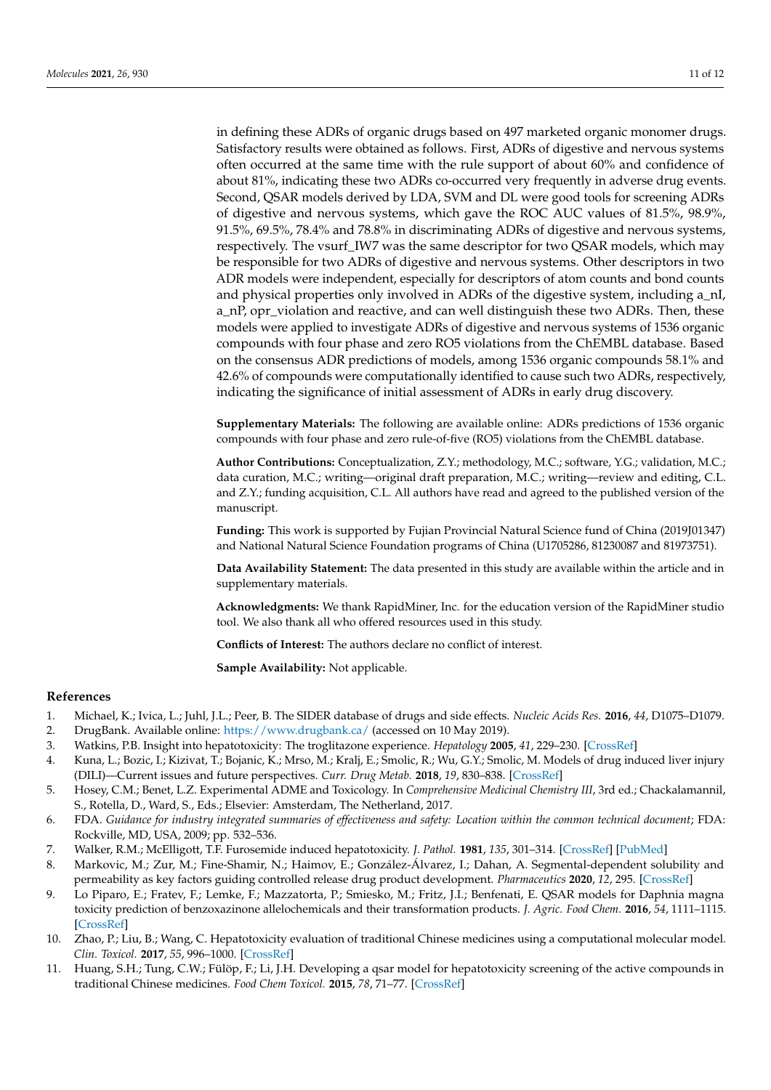in defining these ADRs of organic drugs based on 497 marketed organic monomer drugs. Satisfactory results were obtained as follows. First, ADRs of digestive and nervous systems often occurred at the same time with the rule support of about 60% and confidence of about 81%, indicating these two ADRs co-occurred very frequently in adverse drug events. Second, QSAR models derived by LDA, SVM and DL were good tools for screening ADRs of digestive and nervous systems, which gave the ROC AUC values of 81.5%, 98.9%, 91.5%, 69.5%, 78.4% and 78.8% in discriminating ADRs of digestive and nervous systems, respectively. The vsurf\_IW7 was the same descriptor for two QSAR models, which may be responsible for two ADRs of digestive and nervous systems. Other descriptors in two ADR models were independent, especially for descriptors of atom counts and bond counts and physical properties only involved in ADRs of the digestive system, including a\_nI, a\_nP, opr\_violation and reactive, and can well distinguish these two ADRs. Then, these models were applied to investigate ADRs of digestive and nervous systems of 1536 organic compounds with four phase and zero RO5 violations from the ChEMBL database. Based on the consensus ADR predictions of models, among 1536 organic compounds 58.1% and 42.6% of compounds were computationally identified to cause such two ADRs, respectively, indicating the significance of initial assessment of ADRs in early drug discovery.

**Supplementary Materials:** The following are available online: ADRs predictions of 1536 organic compounds with four phase and zero rule-of-five (RO5) violations from the ChEMBL database.

**Author Contributions:** Conceptualization, Z.Y.; methodology, M.C.; software, Y.G.; validation, M.C.; data curation, M.C.; writing—original draft preparation, M.C.; writing—review and editing, C.L. and Z.Y.; funding acquisition, C.L. All authors have read and agreed to the published version of the manuscript.

**Funding:** This work is supported by Fujian Provincial Natural Science fund of China (2019J01347) and National Natural Science Foundation programs of China (U1705286, 81230087 and 81973751).

**Data Availability Statement:** The data presented in this study are available within the article and in supplementary materials.

**Acknowledgments:** We thank RapidMiner, Inc. for the education version of the RapidMiner studio tool. We also thank all who offered resources used in this study.

**Conflicts of Interest:** The authors declare no conflict of interest.

**Sample Availability:** Not applicable.

#### **References**

- <span id="page-10-0"></span>1. Michael, K.; Ivica, L.; Juhl, J.L.; Peer, B. The SIDER database of drugs and side effects. *Nucleic Acids Res.* **2016**, *44*, D1075–D1079.
- <span id="page-10-1"></span>2. DrugBank. Available online: <https://www.drugbank.ca/> (accessed on 10 May 2019).
- <span id="page-10-2"></span>3. Watkins, P.B. Insight into hepatotoxicity: The troglitazone experience. *Hepatology* **2005**, *41*, 229–230. [\[CrossRef\]](http://doi.org/10.1002/hep.20598)
- <span id="page-10-3"></span>4. Kuna, L.; Bozic, I.; Kizivat, T.; Bojanic, K.; Mrso, M.; Kralj, E.; Smolic, R.; Wu, G.Y.; Smolic, M. Models of drug induced liver injury (DILI)—Current issues and future perspectives. *Curr. Drug Metab.* **2018**, *19*, 830–838. [\[CrossRef\]](http://doi.org/10.2174/1389200219666180523095355)
- <span id="page-10-4"></span>5. Hosey, C.M.; Benet, L.Z. Experimental ADME and Toxicology. In *Comprehensive Medicinal Chemistry III*, 3rd ed.; Chackalamannil, S., Rotella, D., Ward, S., Eds.; Elsevier: Amsterdam, The Netherland, 2017.
- <span id="page-10-5"></span>6. FDA. *Guidance for industry integrated summaries of effectiveness and safety: Location within the common technical document*; FDA: Rockville, MD, USA, 2009; pp. 532–536.
- <span id="page-10-6"></span>7. Walker, R.M.; McElligott, T.F. Furosemide induced hepatotoxicity. *J. Pathol.* **1981**, *135*, 301–314. [\[CrossRef\]](http://doi.org/10.1002/path.1711350407) [\[PubMed\]](http://www.ncbi.nlm.nih.gov/pubmed/7328448)
- <span id="page-10-7"></span>8. Markovic, M.; Zur, M.; Fine-Shamir, N.; Haimov, E.; González-Álvarez, I.; Dahan, A. Segmental-dependent solubility and permeability as key factors guiding controlled release drug product development. *Pharmaceutics* **2020**, *12*, 295. [\[CrossRef\]](http://doi.org/10.3390/pharmaceutics12030295)
- <span id="page-10-8"></span>9. Lo Piparo, E.; Fratev, F.; Lemke, F.; Mazzatorta, P.; Smiesko, M.; Fritz, J.I.; Benfenati, E. QSAR models for Daphnia magna toxicity prediction of benzoxazinone allelochemicals and their transformation products. *J. Agric. Food Chem.* **2016**, *54*, 1111–1115. [\[CrossRef\]](http://doi.org/10.1021/jf050918f)
- <span id="page-10-9"></span>10. Zhao, P.; Liu, B.; Wang, C. Hepatotoxicity evaluation of traditional Chinese medicines using a computational molecular model. *Clin. Toxicol.* **2017**, *55*, 996–1000. [\[CrossRef\]](http://doi.org/10.1080/15563650.2017.1333123)
- <span id="page-10-10"></span>11. Huang, S.H.; Tung, C.W.; Fülöp, F.; Li, J.H. Developing a qsar model for hepatotoxicity screening of the active compounds in traditional Chinese medicines. *Food Chem Toxicol.* **2015**, *78*, 71–77. [\[CrossRef\]](http://doi.org/10.1016/j.fct.2015.01.020)